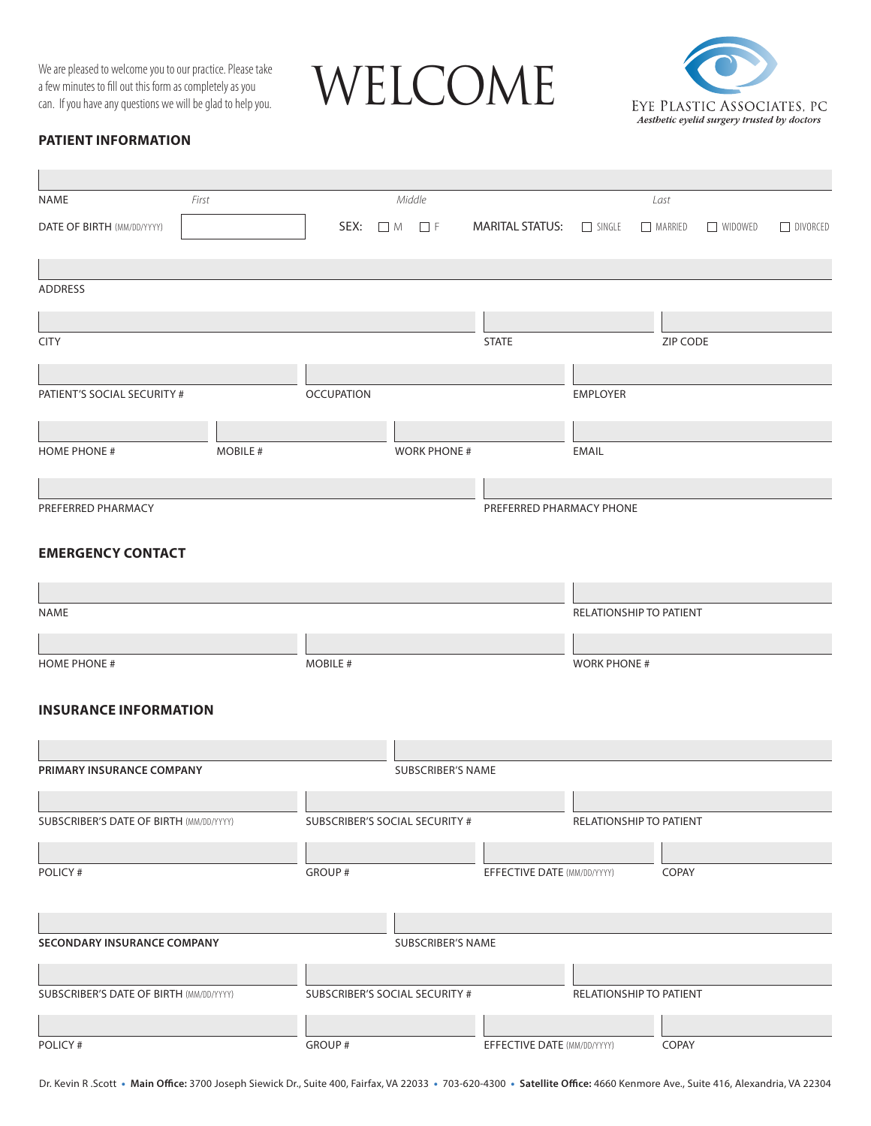a few minutes to fill out this form as completely as you can. If you have any questions we will be glad to help you.

We are pleased to welcome you to our practice. Please take<br>a few minutes to fill out this form as completely as you<br>can. If you have any questions we will be glad to help you.



# **PATIENT INFORMATION**

i.

| NAME                                           | First          |                                |                        | Middle                   |                                |                     | Last                    |                |                 |
|------------------------------------------------|----------------|--------------------------------|------------------------|--------------------------|--------------------------------|---------------------|-------------------------|----------------|-----------------|
| DATE OF BIRTH (MM/DD/YYYY)                     |                |                                | SEX: $\Box$ M $\Box$ F |                          | <b>MARITAL STATUS: EXAMPLE</b> |                     | MARRIED                 | $\Box$ WIDOWED | $\Box$ DIVORCED |
|                                                |                |                                |                        |                          |                                |                     |                         |                |                 |
|                                                |                |                                |                        |                          |                                |                     |                         |                |                 |
| <b>ADDRESS</b>                                 |                |                                |                        |                          |                                |                     |                         |                |                 |
|                                                |                |                                |                        |                          |                                |                     |                         |                |                 |
| <b>CITY</b>                                    |                |                                |                        |                          | <b>STATE</b>                   |                     | ZIP CODE                |                |                 |
|                                                |                |                                |                        |                          |                                |                     |                         |                |                 |
| PATIENT'S SOCIAL SECURITY #                    |                | <b>OCCUPATION</b>              |                        |                          |                                | <b>EMPLOYER</b>     |                         |                |                 |
|                                                |                |                                |                        |                          |                                |                     |                         |                |                 |
|                                                |                |                                |                        |                          |                                |                     |                         |                |                 |
| <b>HOME PHONE #</b>                            | <b>MOBILE#</b> |                                |                        | <b>WORK PHONE #</b>      |                                | <b>EMAIL</b>        |                         |                |                 |
|                                                |                |                                |                        |                          |                                |                     |                         |                |                 |
| PREFERRED PHARMACY                             |                |                                |                        |                          | PREFERRED PHARMACY PHONE       |                     |                         |                |                 |
|                                                |                |                                |                        |                          |                                |                     |                         |                |                 |
| <b>EMERGENCY CONTACT</b>                       |                |                                |                        |                          |                                |                     |                         |                |                 |
|                                                |                |                                |                        |                          |                                |                     |                         |                |                 |
|                                                |                |                                |                        |                          |                                |                     |                         |                |                 |
| <b>NAME</b>                                    |                |                                |                        |                          |                                |                     | RELATIONSHIP TO PATIENT |                |                 |
|                                                |                |                                |                        |                          |                                |                     |                         |                |                 |
| <b>HOME PHONE #</b>                            |                | MOBILE #                       |                        |                          |                                | <b>WORK PHONE #</b> |                         |                |                 |
|                                                |                |                                |                        |                          |                                |                     |                         |                |                 |
| <b>INSURANCE INFORMATION</b>                   |                |                                |                        |                          |                                |                     |                         |                |                 |
|                                                |                |                                |                        |                          |                                |                     |                         |                |                 |
| PRIMARY INSURANCE COMPANY                      |                |                                |                        | <b>SUBSCRIBER'S NAME</b> |                                |                     |                         |                |                 |
|                                                |                |                                |                        |                          |                                |                     |                         |                |                 |
| <b>SUBSCRIBER'S DATE OF BIRTH (MM/DD/YYYY)</b> |                | SUBSCRIBER'S SOCIAL SECURITY # |                        |                          |                                |                     | RELATIONSHIP TO PATIENT |                |                 |
|                                                |                |                                |                        |                          |                                |                     |                         |                |                 |
|                                                |                |                                |                        |                          |                                |                     |                         |                |                 |
| POLICY#                                        |                | GROUP #                        |                        |                          | EFFECTIVE DATE (MM/DD/YYYY)    |                     | COPAY                   |                |                 |
|                                                |                |                                |                        |                          |                                |                     |                         |                |                 |
|                                                |                |                                |                        |                          |                                |                     |                         |                |                 |
| SECONDARY INSURANCE COMPANY                    |                |                                |                        | SUBSCRIBER'S NAME        |                                |                     |                         |                |                 |
|                                                |                |                                |                        |                          |                                |                     |                         |                |                 |
| <b>SUBSCRIBER'S DATE OF BIRTH (MM/DD/YYYY)</b> |                | SUBSCRIBER'S SOCIAL SECURITY # |                        |                          |                                |                     | RELATIONSHIP TO PATIENT |                |                 |
|                                                |                |                                |                        |                          |                                |                     |                         |                |                 |
| POLICY#                                        |                | GROUP #                        |                        |                          | EFFECTIVE DATE (MM/DD/YYYY)    |                     | COPAY                   |                |                 |

Dr. Kevin R .Scott • **Main Office:** 3700 Joseph Siewick Dr., Suite 400, Fairfax, VA 22033 • 703-620-4300 • **Satellite Office:** 4660 Kenmore Ave., Suite 416, Alexandria, VA 22304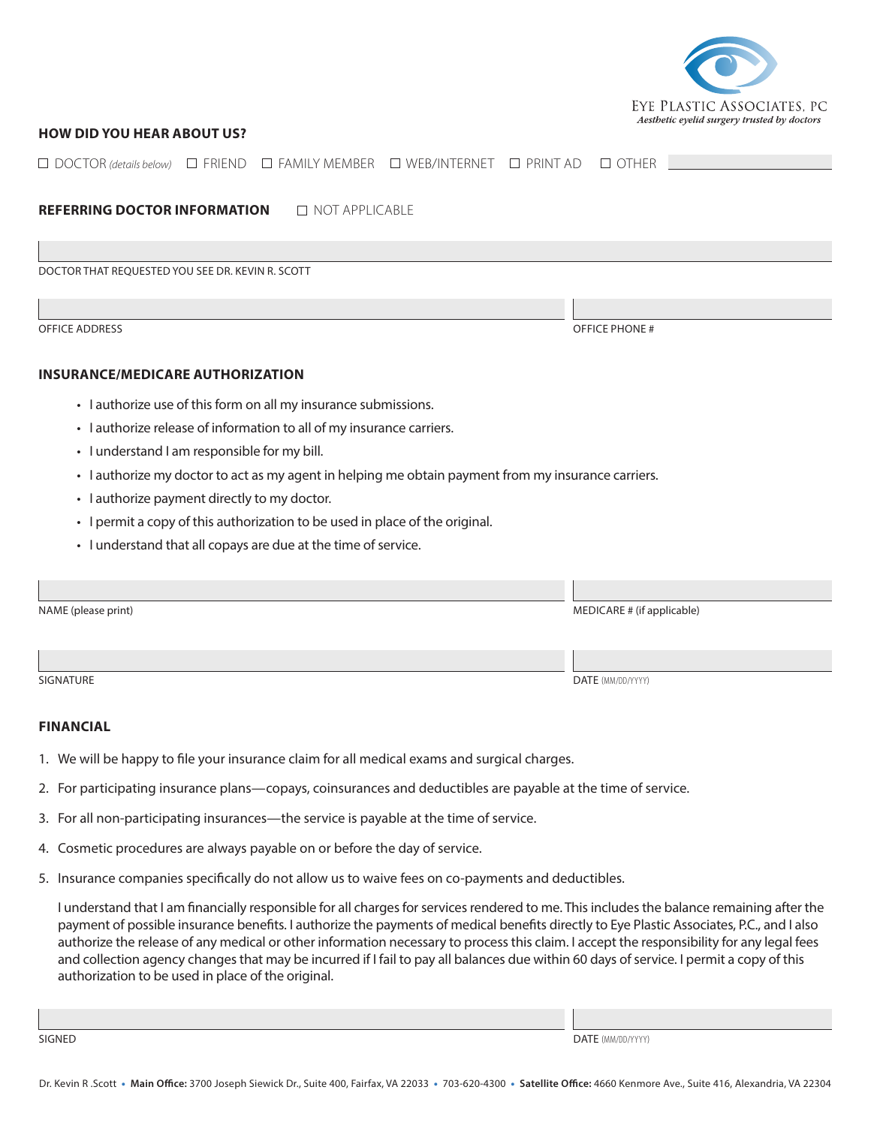

## **HOW DID YOU HEAR ABOUT US?**

| $\Box$ FAMILY MEMBER<br>□ WEB/INTERNET<br>$\Box$ DOCTOR (details below) $\Box$ FRIEND<br>$\Box$ PRINT AD | $\Box$ OTHER               |
|----------------------------------------------------------------------------------------------------------|----------------------------|
|                                                                                                          |                            |
| <b>REFERRING DOCTOR INFORMATION</b><br>$\Box$ NOT APPLICABLE                                             |                            |
|                                                                                                          |                            |
| DOCTOR THAT REQUESTED YOU SEE DR. KEVIN R. SCOTT                                                         |                            |
|                                                                                                          |                            |
| OFFICE ADDRESS                                                                                           | <b>OFFICE PHONE#</b>       |
|                                                                                                          |                            |
| <b>INSURANCE/MEDICARE AUTHORIZATION</b>                                                                  |                            |
| • I authorize use of this form on all my insurance submissions.                                          |                            |
| • I authorize release of information to all of my insurance carriers.                                    |                            |
| · I understand I am responsible for my bill.                                                             |                            |
| · lauthorize my doctor to act as my agent in helping me obtain payment from my insurance carriers.       |                            |
| • I authorize payment directly to my doctor.                                                             |                            |
| • I permit a copy of this authorization to be used in place of the original.                             |                            |
| • I understand that all copays are due at the time of service.                                           |                            |
|                                                                                                          |                            |
| NAME (please print)                                                                                      | MEDICARE # (if applicable) |
|                                                                                                          |                            |
|                                                                                                          |                            |
| <b>SIGNATURE</b>                                                                                         | DATE (MM/DD/YYYY)          |

### **FINANCIAL**

- 1. We will be happy to file your insurance claim for all medical exams and surgical charges.
- 2. For participating insurance plans—copays, coinsurances and deductibles are payable at the time of service.
- 3. For all non-participating insurances—the service is payable at the time of service.
- 4. Cosmetic procedures are always payable on or before the day of service.
- 5. Insurance companies specifically do not allow us to waive fees on co-payments and deductibles.

I understand that I am financially responsible for all charges for services rendered to me. This includes the balance remaining after the payment of possible insurance benefits. I authorize the payments of medical benefits directly to Eye Plastic Associates, P.C., and I also authorize the release of any medical or other information necessary to process this claim. I accept the responsibility for any legal fees and collection agency changes that may be incurred if I fail to pay all balances due within 60 days of service. I permit a copy of this authorization to be used in place of the original.

SIGNED DATE (MM/DD/YYYY)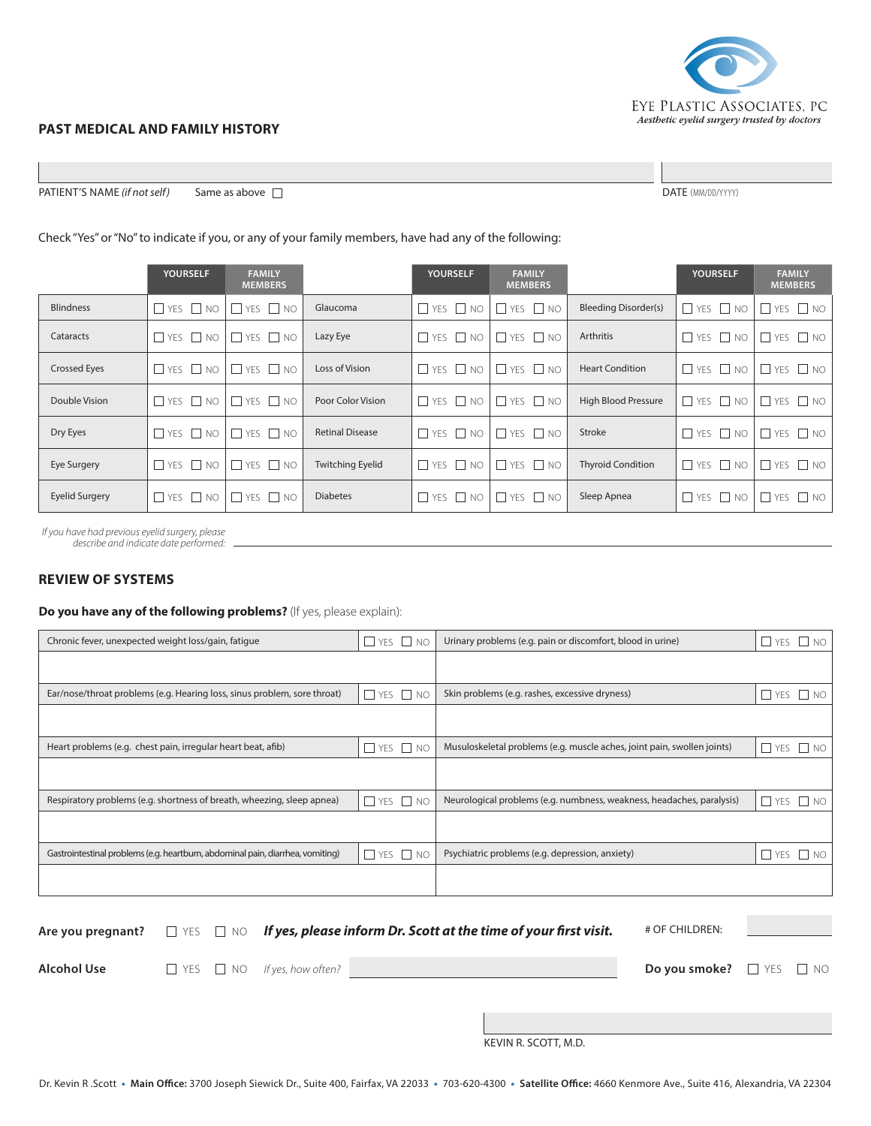

#### **PAST MEDICAL AND FAMILY HISTORY**

**PATIENT'S NAME** (if not self) Same as above □

## Check "Yes" or "No" to indicate if you, or any of your family members, have had any of the following:

|                       | <b>YOURSELF</b>      | <b>FAMILY</b><br><b>MEMBERS</b> |                         | <b>YOURSELF</b>      | <b>FAMILY</b><br><b>MEMBERS</b>           |                             | <b>YOURSELF</b>      | <b>FAMILY</b><br><b>MEMBERS</b> |
|-----------------------|----------------------|---------------------------------|-------------------------|----------------------|-------------------------------------------|-----------------------------|----------------------|---------------------------------|
| <b>Blindness</b>      | $\Box$ YES $\Box$ NO | $\Box$ YES $\Box$ NO            | Glaucoma                | $\Box$ YES $\Box$ NO | $\Box$ YES $\Box$ NO                      | <b>Bleeding Disorder(s)</b> | $\Box$ YES $\Box$ NO | $\Box$ YES $\Box$ NO            |
| Cataracts             | $\Box$ YES $\Box$ NO | $\Box$ YES $\Box$ NO            | Lazy Eye                | $\Box$ YES $\Box$ NO | $\Box$ YES $\Box$ NO                      | Arthritis                   | $\Box$ YES $\Box$ NO | $\Box$ YES $\Box$ NO            |
| <b>Crossed Eyes</b>   | $\Box$ YES $\Box$ NO | $\Box$ YES $\Box$ NO            | Loss of Vision          |                      | $\Box$ YES $\Box$ NO $\Box$ YES $\Box$ NO | <b>Heart Condition</b>      | $\Box$ YES $\Box$ NO | $\Box$ YES $\Box$ NO            |
| Double Vision         | $\Box$ YES $\Box$ NO | $\Box$ YES $\Box$ NO            | Poor Color Vision       | $\Box$ YES $\Box$ NO | $\Box$ YES $\Box$ NO                      | <b>High Blood Pressure</b>  | $\Box$ YES $\Box$ NO | YES $\Box$ NO                   |
| Dry Eyes              | $\Box$ YES $\Box$ NO | $\Box$ YES $\Box$ NO            | <b>Retinal Disease</b>  | $\Box$ YES $\Box$ NO | $\Box$ YES $\Box$ NO                      | Stroke                      | $\Box$ YES $\Box$ NO | $\Box$ YES $\Box$ NO            |
| Eye Surgery           | $\Box$ YES $\Box$ NO | $\Box$ YES $\Box$ NO            | <b>Twitching Eyelid</b> | $\Box$ YES $\Box$ NO | $\Box$ YES $\Box$ NO                      | <b>Thyroid Condition</b>    | $\Box$ YES $\Box$ NO | $\Box$ YES $\Box$ NO            |
| <b>Eyelid Surgery</b> | $\Box$ YES $\Box$ NO | $\Box$ YES $\Box$ NO            | <b>Diabetes</b>         | $\Box$ YES $\Box$ NO | $\Box$ YES $\Box$ NO                      | Sleep Apnea                 | $\Box$ YES $\Box$ NO | $\Box$ YES $\Box$ NO            |

*If you have had previous eyelid surgery, please describe and indicate date performed:*

#### **REVIEW OF SYSTEMS**

#### **Do you have any of the following problems?** (If yes, please explain):

| Chronic fever, unexpected weight loss/gain, fatique                            | $\Box$ YES $\Box$ NO | Urinary problems (e.g. pain or discomfort, blood in urine)              | YES $\Box$ NO            |
|--------------------------------------------------------------------------------|----------------------|-------------------------------------------------------------------------|--------------------------|
|                                                                                |                      |                                                                         |                          |
|                                                                                |                      |                                                                         |                          |
| Ear/nose/throat problems (e.g. Hearing loss, sinus problem, sore throat)       | $\Box$ YES $\Box$ NO | Skin problems (e.g. rashes, excessive dryness)                          | $\Box$ YES $\Box$ NO     |
|                                                                                |                      |                                                                         |                          |
|                                                                                |                      |                                                                         |                          |
| Heart problems (e.g. chest pain, irregular heart beat, afib)                   | $YES$ NO             | Musuloskeletal problems (e.g. muscle aches, joint pain, swollen joints) | $\Box$ YES $\Box$ NO     |
|                                                                                |                      |                                                                         |                          |
|                                                                                |                      |                                                                         |                          |
| Respiratory problems (e.g. shortness of breath, wheezing, sleep apnea)         | $\Box$ YES $\Box$ NO | Neurological problems (e.g. numbness, weakness, headaches, paralysis)   | $\Box$ YES $\Box$ NO     |
|                                                                                |                      |                                                                         |                          |
|                                                                                |                      |                                                                         |                          |
| Gastrointestinal problems (e.g. heartburn, abdominal pain, diarrhea, vomiting) | $\Box$ YES $\Box$ NO | Psychiatric problems (e.g. depression, anxiety)                         | YES $\Box$ NO<br>$\perp$ |
|                                                                                |                      |                                                                         |                          |
|                                                                                |                      |                                                                         |                          |

|             |  |                                         | Are you pregnant? $\square$ YES $\square$ NO If yes, please inform Dr. Scott at the time of your first visit. | # OF CHILDREN:                         |  |
|-------------|--|-----------------------------------------|---------------------------------------------------------------------------------------------------------------|----------------------------------------|--|
| Alcohol Use |  | $\Box$ YES $\Box$ NO If yes, how often? |                                                                                                               | Do you smoke? <b>I</b> YES <b>I</b> NO |  |
|             |  |                                         | $1/7$ $1/11 - 7/7 - 7/7$ $1/7$                                                                                |                                        |  |